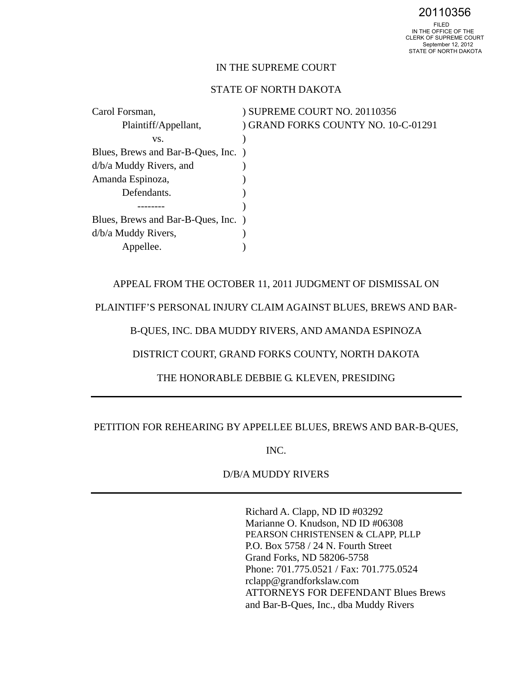20110356

### IN THE SUPREME COURT

# STATE OF NORTH DAKOTA

Carol Forsman,  $\qquad \qquad$  ) SUPREME COURT NO. 20110356 Plaintiff/Appellant,  $\qquad \qquad$  ) GRAND FORKS COUNTY NO. 10-C-01291 vs. (b) Blues, Brews and Bar-B-Ques, Inc. ) d/b/a Muddy Rivers, and ) Amanda Espinoza, ) Defendants. Blues, Brews and Bar-B-Ques, Inc. ) d/b/a Muddy Rivers, (a) Appellee.

APPEAL FROM THE OCTOBER 11, 2011 JUDGMENT OF DISMISSAL ON

PLAINTIFF'S PERSONAL INJURY CLAIM AGAINST BLUES, BREWS AND BAR-

B-QUES, INC. DBA MUDDY RIVERS, AND AMANDA ESPINOZA

DISTRICT COURT, GRAND FORKS COUNTY, NORTH DAKOTA

THE HONORABLE DEBBIE G. KLEVEN, PRESIDING

PETITION FOR REHEARING BY APPELLEE BLUES, BREWS AND BAR-B-QUES,

INC.

D/B/A MUDDY RIVERS

Richard A. Clapp, ND ID #03292 Marianne O. Knudson, ND ID #06308 PEARSON CHRISTENSEN & CLAPP, PLLP P.O. Box 5758 / 24 N. Fourth Street Grand Forks, ND 58206-5758 Phone: 701.775.0521 / Fax: 701.775.0524 rclapp@grandforkslaw.com ATTORNEYS FOR DEFENDANT Blues Brews and Bar-B-Ques, Inc., dba Muddy Rivers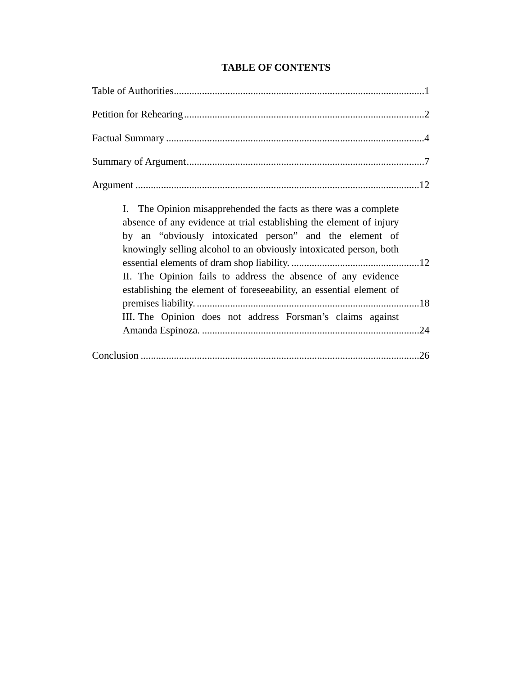| I. The Opinion misapprehended the facts as there was a complete<br>absence of any evidence at trial establishing the element of injury<br>by an "obviously intoxicated person" and the element of<br>knowingly selling alcohol to an obviously intoxicated person, both<br>II. The Opinion fails to address the absence of any evidence<br>establishing the element of foreseeability, an essential element of<br>III. The Opinion does not address Forsman's claims against |
|------------------------------------------------------------------------------------------------------------------------------------------------------------------------------------------------------------------------------------------------------------------------------------------------------------------------------------------------------------------------------------------------------------------------------------------------------------------------------|
|                                                                                                                                                                                                                                                                                                                                                                                                                                                                              |

# **TABLE OF CONTENTS**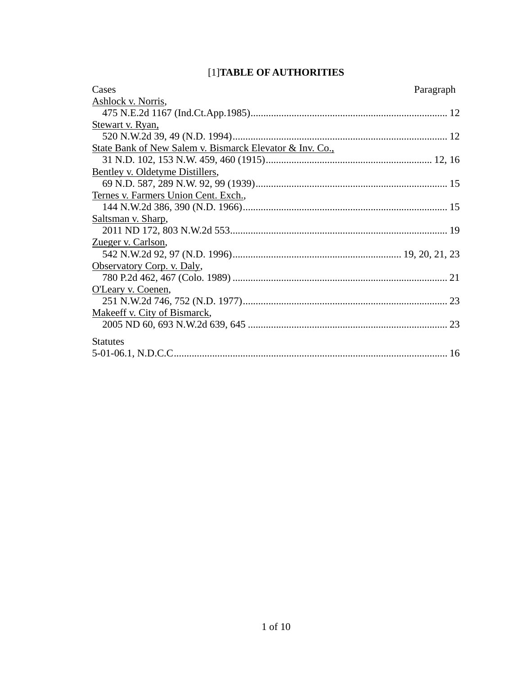# [1]**TABLE OF AUTHORITIES**

| Cases                                                    | Paragraph |
|----------------------------------------------------------|-----------|
| Ashlock v. Norris,                                       |           |
|                                                          |           |
| Stewart v. Ryan,                                         |           |
|                                                          |           |
| State Bank of New Salem v. Bismarck Elevator & Inv. Co., |           |
|                                                          |           |
| Bentley v. Oldetyme Distillers,                          |           |
|                                                          |           |
| Ternes v. Farmers Union Cent. Exch.,                     |           |
|                                                          |           |
| Saltsman v. Sharp,                                       |           |
|                                                          |           |
| Zueger v. Carlson,                                       |           |
|                                                          |           |
| Observatory Corp. v. Daly,                               |           |
|                                                          |           |
| O'Leary v. Coenen,                                       |           |
|                                                          |           |
| Makeeff v. City of Bismarck,                             |           |
|                                                          |           |
| <b>Statutes</b>                                          |           |
|                                                          |           |
|                                                          |           |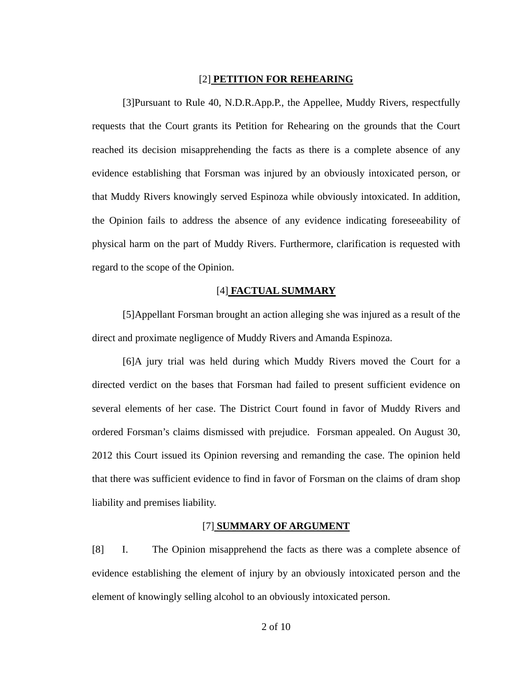#### [2] **PETITION FOR REHEARING**

[3]Pursuant to Rule 40, N.D.R.App.P., the Appellee, Muddy Rivers, respectfully requests that the Court grants its Petition for Rehearing on the grounds that the Court reached its decision misapprehending the facts as there is a complete absence of any evidence establishing that Forsman was injured by an obviously intoxicated person, or that Muddy Rivers knowingly served Espinoza while obviously intoxicated. In addition, the Opinion fails to address the absence of any evidence indicating foreseeability of physical harm on the part of Muddy Rivers. Furthermore, clarification is requested with regard to the scope of the Opinion.

### [4] **FACTUAL SUMMARY**

[5]Appellant Forsman brought an action alleging she was injured as a result of the direct and proximate negligence of Muddy Rivers and Amanda Espinoza.

[6]A jury trial was held during which Muddy Rivers moved the Court for a directed verdict on the bases that Forsman had failed to present sufficient evidence on several elements of her case. The District Court found in favor of Muddy Rivers and ordered Forsman's claims dismissed with prejudice. Forsman appealed. On August 30, 2012 this Court issued its Opinion reversing and remanding the case. The opinion held that there was sufficient evidence to find in favor of Forsman on the claims of dram shop liability and premises liability.

#### [7] **SUMMARY OF ARGUMENT**

[8] I. The Opinion misapprehend the facts as there was a complete absence of evidence establishing the element of injury by an obviously intoxicated person and the element of knowingly selling alcohol to an obviously intoxicated person.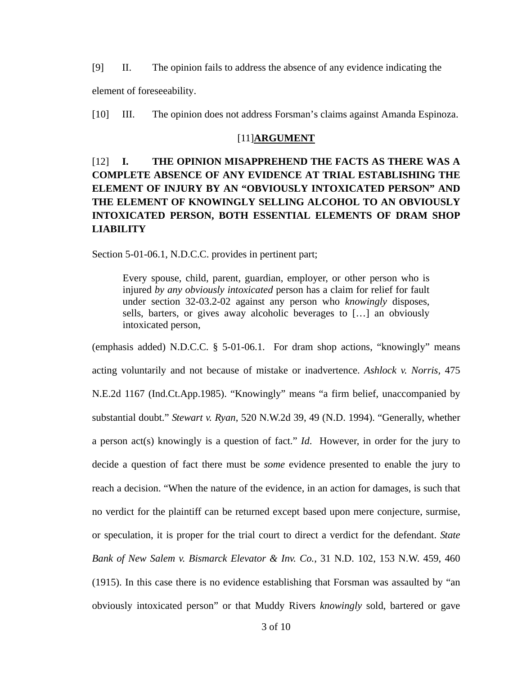[9] II. The opinion fails to address the absence of any evidence indicating the element of foreseeability.

[10] III. The opinion does not address Forsman's claims against Amanda Espinoza.

#### [11]**ARGUMENT**

# [12] **I. THE OPINION MISAPPREHEND THE FACTS AS THERE WAS A COMPLETE ABSENCE OF ANY EVIDENCE AT TRIAL ESTABLISHING THE ELEMENT OF INJURY BY AN "OBVIOUSLY INTOXICATED PERSON" AND THE ELEMENT OF KNOWINGLY SELLING ALCOHOL TO AN OBVIOUSLY INTOXICATED PERSON, BOTH ESSENTIAL ELEMENTS OF DRAM SHOP LIABILITY**

Section 5-01-06.1, N.D.C.C. provides in pertinent part;

Every spouse, child, parent, guardian, employer, or other person who is injured *by any obviously intoxicated* person has a claim for relief for fault under section 32-03.2-02 against any person who *knowingly* disposes, sells, barters, or gives away alcoholic beverages to […] an obviously intoxicated person,

(emphasis added) N.D.C.C. § 5-01-06.1. For dram shop actions, "knowingly" means acting voluntarily and not because of mistake or inadvertence. *Ashlock v. Norris,* 475 N.E.2d 1167 (Ind.Ct.App.1985). "Knowingly" means "a firm belief, unaccompanied by substantial doubt." *Stewart v. Ryan*, 520 N.W.2d 39, 49 (N.D. 1994). "Generally, whether a person act(s) knowingly is a question of fact." *Id*. However, in order for the jury to decide a question of fact there must be *some* evidence presented to enable the jury to reach a decision. "When the nature of the evidence, in an action for damages, is such that no verdict for the plaintiff can be returned except based upon mere conjecture, surmise, or speculation, it is proper for the trial court to direct a verdict for the defendant. *State Bank of New Salem v. Bismarck Elevator & Inv. Co.*, 31 N.D. 102, 153 N.W. 459, 460 (1915). In this case there is no evidence establishing that Forsman was assaulted by "an obviously intoxicated person" or that Muddy Rivers *knowingly* sold, bartered or gave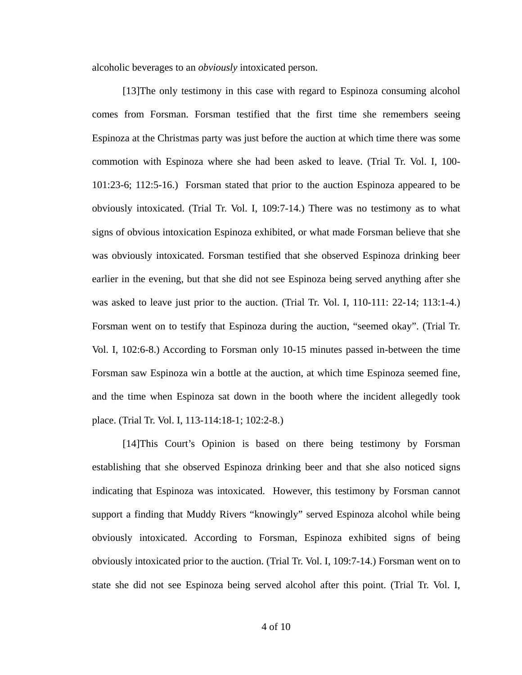alcoholic beverages to an *obviously* intoxicated person.

[13]The only testimony in this case with regard to Espinoza consuming alcohol comes from Forsman. Forsman testified that the first time she remembers seeing Espinoza at the Christmas party was just before the auction at which time there was some commotion with Espinoza where she had been asked to leave. (Trial Tr. Vol. I, 100- 101:23-6; 112:5-16.) Forsman stated that prior to the auction Espinoza appeared to be obviously intoxicated. (Trial Tr. Vol. I, 109:7-14.) There was no testimony as to what signs of obvious intoxication Espinoza exhibited, or what made Forsman believe that she was obviously intoxicated. Forsman testified that she observed Espinoza drinking beer earlier in the evening, but that she did not see Espinoza being served anything after she was asked to leave just prior to the auction. (Trial Tr. Vol. I, 110-111: 22-14; 113:1-4.) Forsman went on to testify that Espinoza during the auction, "seemed okay". (Trial Tr. Vol. I, 102:6-8.) According to Forsman only 10-15 minutes passed in-between the time Forsman saw Espinoza win a bottle at the auction, at which time Espinoza seemed fine, and the time when Espinoza sat down in the booth where the incident allegedly took place. (Trial Tr. Vol. I, 113-114:18-1; 102:2-8.)

[14]This Court's Opinion is based on there being testimony by Forsman establishing that she observed Espinoza drinking beer and that she also noticed signs indicating that Espinoza was intoxicated. However, this testimony by Forsman cannot support a finding that Muddy Rivers "knowingly" served Espinoza alcohol while being obviously intoxicated. According to Forsman, Espinoza exhibited signs of being obviously intoxicated prior to the auction. (Trial Tr. Vol. I, 109:7-14.) Forsman went on to state she did not see Espinoza being served alcohol after this point. (Trial Tr. Vol. I,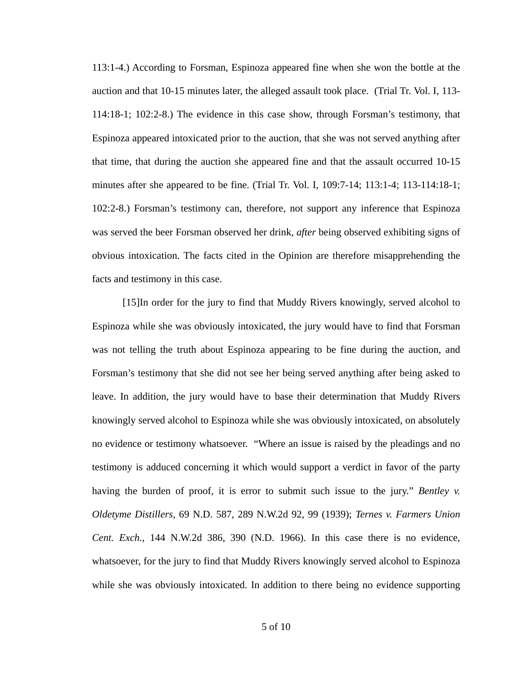113:1-4.) According to Forsman, Espinoza appeared fine when she won the bottle at the auction and that 10-15 minutes later, the alleged assault took place. (Trial Tr. Vol. I, 113- 114:18-1; 102:2-8.) The evidence in this case show, through Forsman's testimony, that Espinoza appeared intoxicated prior to the auction, that she was not served anything after that time, that during the auction she appeared fine and that the assault occurred 10-15 minutes after she appeared to be fine. (Trial Tr. Vol. I, 109:7-14; 113:1-4; 113-114:18-1; 102:2-8.) Forsman's testimony can, therefore, not support any inference that Espinoza was served the beer Forsman observed her drink, *after* being observed exhibiting signs of obvious intoxication. The facts cited in the Opinion are therefore misapprehending the facts and testimony in this case.

[15]In order for the jury to find that Muddy Rivers knowingly, served alcohol to Espinoza while she was obviously intoxicated, the jury would have to find that Forsman was not telling the truth about Espinoza appearing to be fine during the auction, and Forsman's testimony that she did not see her being served anything after being asked to leave. In addition, the jury would have to base their determination that Muddy Rivers knowingly served alcohol to Espinoza while she was obviously intoxicated, on absolutely no evidence or testimony whatsoever. "Where an issue is raised by the pleadings and no testimony is adduced concerning it which would support a verdict in favor of the party having the burden of proof, it is error to submit such issue to the jury." *Bentley v. Oldetyme Distillers*, 69 N.D. 587, 289 N.W.2d 92, 99 (1939); *Ternes v. Farmers Union Cent. Exch.*, 144 N.W.2d 386, 390 (N.D. 1966). In this case there is no evidence, whatsoever, for the jury to find that Muddy Rivers knowingly served alcohol to Espinoza while she was obviously intoxicated. In addition to there being no evidence supporting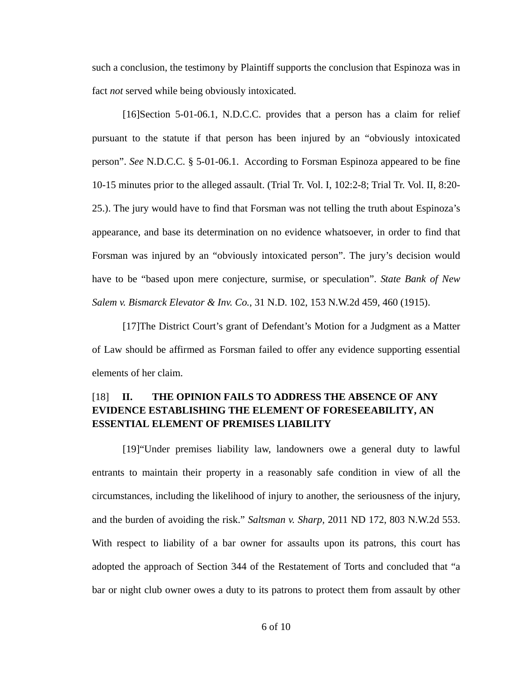such a conclusion, the testimony by Plaintiff supports the conclusion that Espinoza was in fact *not* served while being obviously intoxicated.

[16]Section 5-01-06.1, N.D.C.C. provides that a person has a claim for relief pursuant to the statute if that person has been injured by an "obviously intoxicated person". *See* N.D.C.C. § 5-01-06.1. According to Forsman Espinoza appeared to be fine 10-15 minutes prior to the alleged assault. (Trial Tr. Vol. I, 102:2-8; Trial Tr. Vol. II, 8:20- 25.). The jury would have to find that Forsman was not telling the truth about Espinoza's appearance, and base its determination on no evidence whatsoever, in order to find that Forsman was injured by an "obviously intoxicated person". The jury's decision would have to be "based upon mere conjecture, surmise, or speculation". *State Bank of New Salem v. Bismarck Elevator & Inv. Co.*, 31 N.D. 102, 153 N.W.2d 459, 460 (1915).

[17]The District Court's grant of Defendant's Motion for a Judgment as a Matter of Law should be affirmed as Forsman failed to offer any evidence supporting essential elements of her claim.

# [18] **II. THE OPINION FAILS TO ADDRESS THE ABSENCE OF ANY EVIDENCE ESTABLISHING THE ELEMENT OF FORESEEABILITY, AN ESSENTIAL ELEMENT OF PREMISES LIABILITY**

[19]"Under premises liability law, landowners owe a general duty to lawful entrants to maintain their property in a reasonably safe condition in view of all the circumstances, including the likelihood of injury to another, the seriousness of the injury, and the burden of avoiding the risk." *Saltsman v. Sharp,* 2011 ND 172, 803 N.W.2d 553. With respect to liability of a bar owner for assaults upon its patrons, this court has adopted the approach of Section 344 of the Restatement of Torts and concluded that "a bar or night club owner owes a duty to its patrons to protect them from assault by other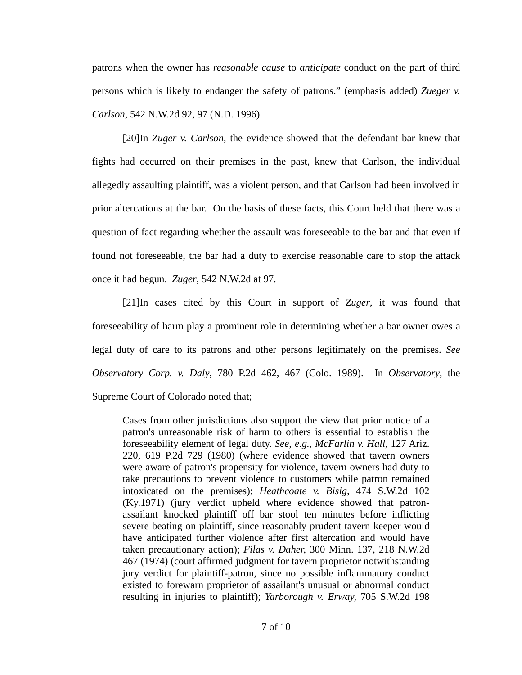patrons when the owner has *reasonable cause* to *anticipate* conduct on the part of third persons which is likely to endanger the safety of patrons." (emphasis added) *Zueger v. Carlson*, 542 N.W.2d 92, 97 (N.D. 1996)

[20]In *Zuger v. Carlson*, the evidence showed that the defendant bar knew that fights had occurred on their premises in the past, knew that Carlson, the individual allegedly assaulting plaintiff, was a violent person, and that Carlson had been involved in prior altercations at the bar. On the basis of these facts, this Court held that there was a question of fact regarding whether the assault was foreseeable to the bar and that even if found not foreseeable, the bar had a duty to exercise reasonable care to stop the attack once it had begun. *Zuger*, 542 N.W.2d at 97.

[21]In cases cited by this Court in support of *Zuger*, it was found that foreseeability of harm play a prominent role in determining whether a bar owner owes a legal duty of care to its patrons and other persons legitimately on the premises. *See Observatory Corp. v. Daly*, 780 P.2d 462, 467 (Colo. 1989). In *Observatory*, the Supreme Court of Colorado noted that;

Cases from other jurisdictions also support the view that prior notice of a patron's unreasonable risk of harm to others is essential to establish the foreseeability element of legal duty. *See, e.g., McFarlin v. Hall,* 127 Ariz. 220, 619 P.2d 729 (1980) (where evidence showed that tavern owners were aware of patron's propensity for violence, tavern owners had duty to take precautions to prevent violence to customers while patron remained intoxicated on the premises); *Heathcoate v. Bisig,* 474 S.W.2d 102 (Ky.1971) (jury verdict upheld where evidence showed that patronassailant knocked plaintiff off bar stool ten minutes before inflicting severe beating on plaintiff, since reasonably prudent tavern keeper would have anticipated further violence after first altercation and would have taken precautionary action); *Filas v. Daher,* 300 Minn. 137, 218 N.W.2d 467 (1974) (court affirmed judgment for tavern proprietor notwithstanding jury verdict for plaintiff-patron, since no possible inflammatory conduct existed to forewarn proprietor of assailant's unusual or abnormal conduct resulting in injuries to plaintiff); *Yarborough v. Erway,* 705 S.W.2d 198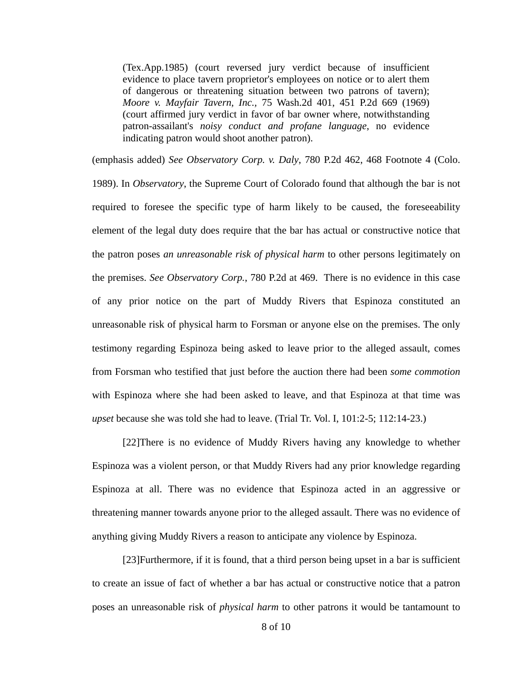(Tex.App.1985) (court reversed jury verdict because of insufficient evidence to place tavern proprietor's employees on notice or to alert them of dangerous or threatening situation between two patrons of tavern); *Moore v. Mayfair Tavern, Inc.,* 75 Wash.2d 401, 451 P.2d 669 (1969) (court affirmed jury verdict in favor of bar owner where, notwithstanding patron-assailant's *noisy conduct and profane language*, no evidence indicating patron would shoot another patron).

(emphasis added) *See Observatory Corp. v. Daly*, 780 P.2d 462, 468 Footnote 4 (Colo. 1989). In *Observatory*, the Supreme Court of Colorado found that although the bar is not required to foresee the specific type of harm likely to be caused, the foreseeability element of the legal duty does require that the bar has actual or constructive notice that the patron poses *an unreasonable risk of physical harm* to other persons legitimately on the premises. *See Observatory Corp.*, 780 P.2d at 469. There is no evidence in this case of any prior notice on the part of Muddy Rivers that Espinoza constituted an unreasonable risk of physical harm to Forsman or anyone else on the premises. The only testimony regarding Espinoza being asked to leave prior to the alleged assault, comes from Forsman who testified that just before the auction there had been *some commotion* with Espinoza where she had been asked to leave, and that Espinoza at that time was *upset* because she was told she had to leave. (Trial Tr. Vol. I, 101:2-5; 112:14-23.)

[22]There is no evidence of Muddy Rivers having any knowledge to whether Espinoza was a violent person, or that Muddy Rivers had any prior knowledge regarding Espinoza at all. There was no evidence that Espinoza acted in an aggressive or threatening manner towards anyone prior to the alleged assault. There was no evidence of anything giving Muddy Rivers a reason to anticipate any violence by Espinoza.

[23]Furthermore, if it is found, that a third person being upset in a bar is sufficient to create an issue of fact of whether a bar has actual or constructive notice that a patron poses an unreasonable risk of *physical harm* to other patrons it would be tantamount to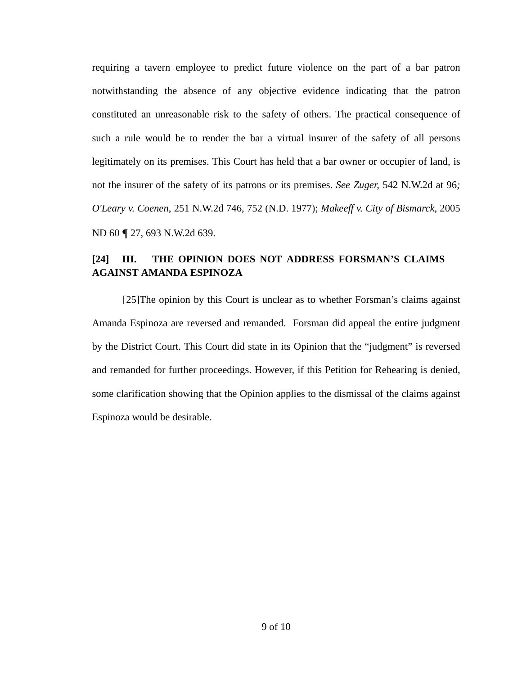requiring a tavern employee to predict future violence on the part of a bar patron notwithstanding the absence of any objective evidence indicating that the patron constituted an unreasonable risk to the safety of others. The practical consequence of such a rule would be to render the bar a virtual insurer of the safety of all persons legitimately on its premises. This Court has held that a bar owner or occupier of land, is not the insurer of the safety of its patrons or its premises. *See Zuger,* 542 N.W.2d at 96*; O'Leary v. Coenen*, 251 N.W.2d 746, 752 (N.D. 1977); *Makeeff v. City of Bismarck*, 2005 ND 60 ¶ 27, 693 N.W.2d 639.

# **[24] III. THE OPINION DOES NOT ADDRESS FORSMAN'S CLAIMS AGAINST AMANDA ESPINOZA**

[25]The opinion by this Court is unclear as to whether Forsman's claims against Amanda Espinoza are reversed and remanded. Forsman did appeal the entire judgment by the District Court. This Court did state in its Opinion that the "judgment" is reversed and remanded for further proceedings. However, if this Petition for Rehearing is denied, some clarification showing that the Opinion applies to the dismissal of the claims against Espinoza would be desirable.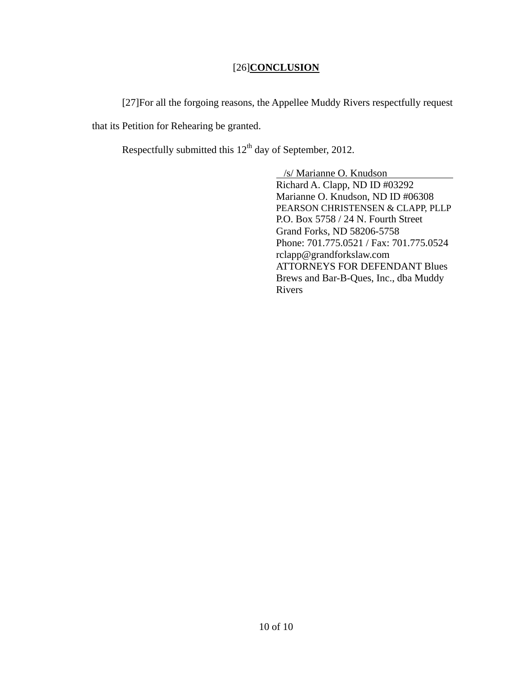# [26]**CONCLUSION**

[27]For all the forgoing reasons, the Appellee Muddy Rivers respectfully request that its Petition for Rehearing be granted.

Respectfully submitted this  $12<sup>th</sup>$  day of September, 2012.

 /s/ Marianne O. Knudson Richard A. Clapp, ND ID #03292 Marianne O. Knudson, ND ID #06308 PEARSON CHRISTENSEN & CLAPP, PLLP P.O. Box 5758 / 24 N. Fourth Street Grand Forks, ND 58206-5758 Phone: 701.775.0521 / Fax: 701.775.0524 rclapp@grandforkslaw.com ATTORNEYS FOR DEFENDANT Blues Brews and Bar-B-Ques, Inc., dba Muddy Rivers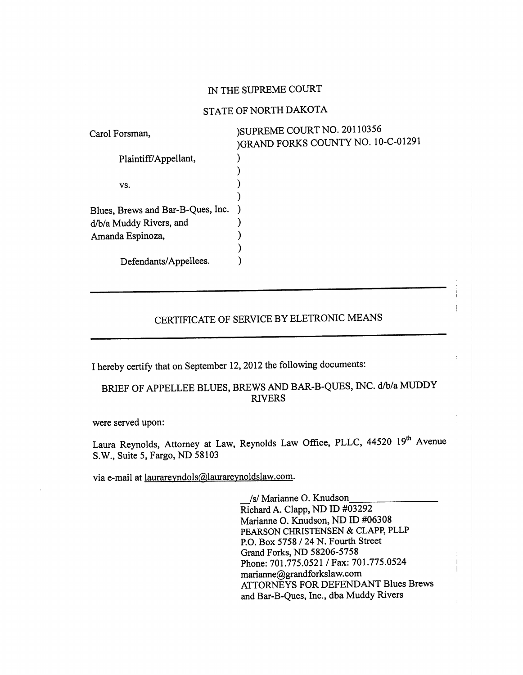## IN THE SUPREME COURT

### STATE OF NORTH DAKOTA

| Carol Forsman,                    | )SUPREME COURT NO. 20110356<br>)GRAND FORKS COUNTY NO. 10-C-01291 |
|-----------------------------------|-------------------------------------------------------------------|
| Plaintiff/Appellant,              |                                                                   |
|                                   |                                                                   |
| VS.                               |                                                                   |
|                                   |                                                                   |
| Blues, Brews and Bar-B-Ques, Inc. |                                                                   |
| d/b/a Muddy Rivers, and           |                                                                   |
| Amanda Espinoza,                  |                                                                   |
|                                   |                                                                   |
| Defendants/Appellees.             |                                                                   |

# CERTIFICATE OF SERVICE BY ELETRONIC MEANS

I hereby certify that on September 12, 2012 the following documents:

# BRIEF OF APPELLEE BLUES, BREWS AND BAR-B-QUES, INC. d/b/a MUDDY **RIVERS**

were served upon:

Laura Reynolds, Attorney at Law, Reynolds Law Office, PLLC, 44520 19th Avenue S.W., Suite 5, Fargo, ND 58103

via e-mail at laurareyndols@laurareynoldslaw.com.

/s/ Marianne O. Knudson Richard A. Clapp, ND ID #03292 Marianne O. Knudson, ND ID #06308 PEARSON CHRISTENSEN & CLAPP, PLLP P.O. Box 5758 / 24 N. Fourth Street Grand Forks, ND 58206-5758 Phone: 701.775.0521 / Fax: 701.775.0524 marianne@grandforkslaw.com ATTORNEYS FOR DEFENDANT Blues Brews and Bar-B-Ques, Inc., dba Muddy Rivers